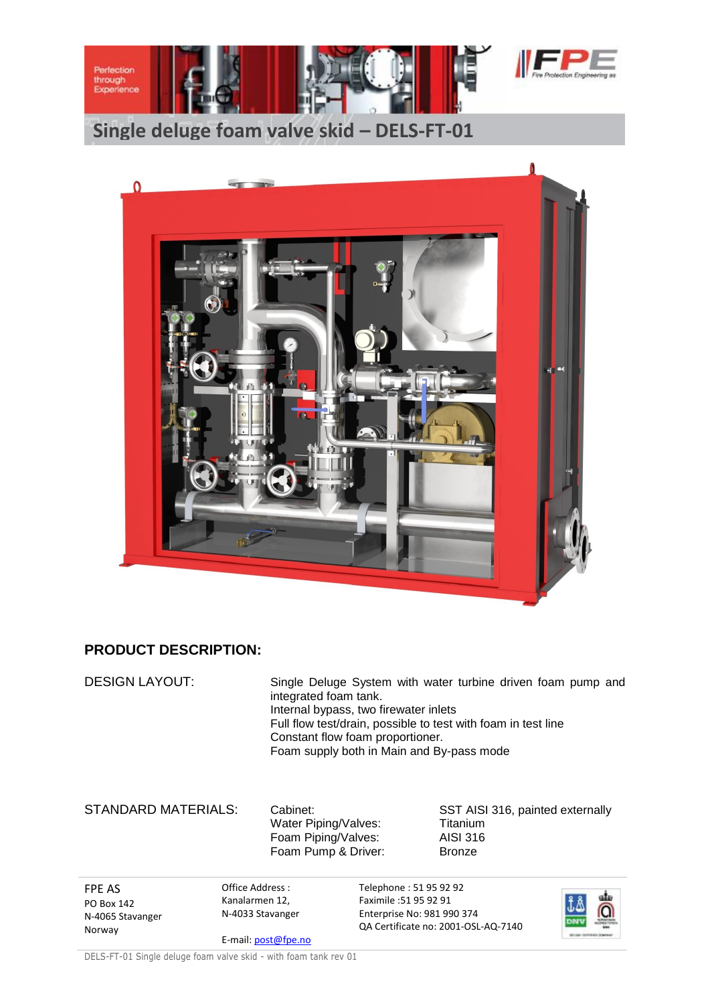



## **PRODUCT DESCRIPTION:**

DESIGN LAYOUT: Single Deluge System with water turbine driven foam pump and integrated foam tank. Internal bypass, two firewater inlets Full flow test/drain, possible to test with foam in test line Constant flow foam proportioner. Foam supply both in Main and By-pass mode

Water Piping/Valves: Titanium Foam Piping/Valves: AISI 316 Foam Pump & Driver: Bronze

STANDARD MATERIALS: Cabinet: SST AISI 316, painted externally

FPE AS PO Box 142 N-4065 Stavanger Norway

Office Address : Kanalarmen 12, N-4033 Stavanger

E-mail[: post@fpe.no](mailto:post@fpe.no)

Telephone : 51 95 92 92 Faximile :51 95 92 91 Enterprise No: 981 990 374 QA Certificate no: 2001-OSL-AQ-7140



DELS-FT-01 Single deluge foam valve skid - with foam tank rev 01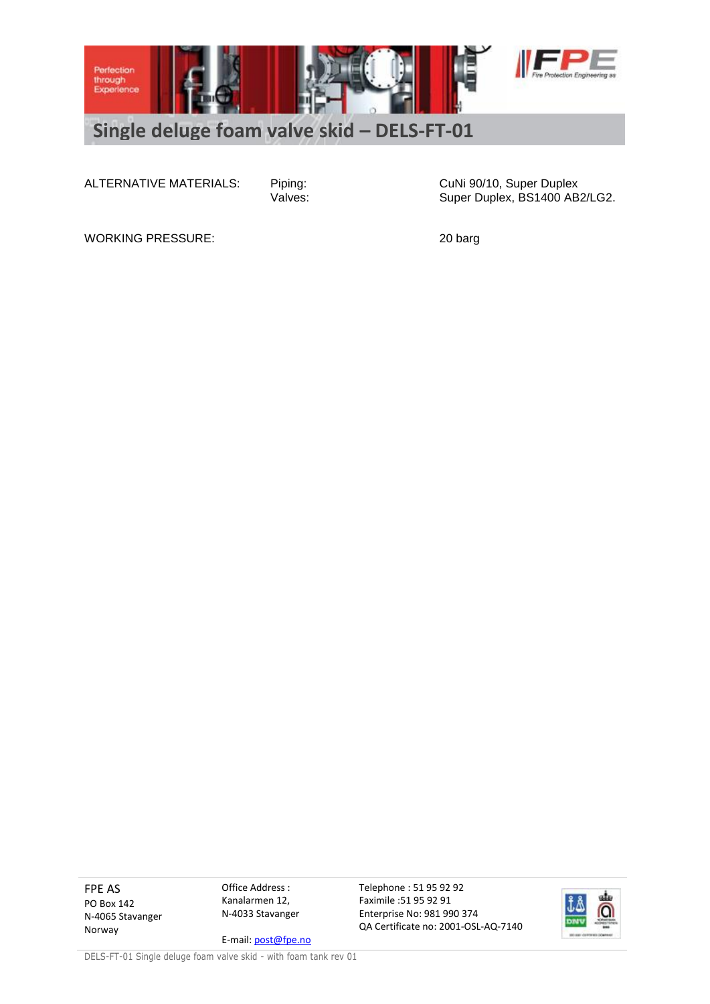

ALTERNATIVE MATERIALS: Piping: CuNi 90/10, Super Duplex<br>Valves: Values: Super Duplex, BS1400 AB Super Duplex, BS1400 AB2/LG2.

WORKING PRESSURE: 20 barg

FPE AS PO Box 142 N-4065 Stavanger Norway

Office Address : Kanalarmen 12, N-4033 Stavanger

E-mail[: post@fpe.no](mailto:post@fpe.no)

Telephone : 51 95 92 92 Faximile :51 95 92 91 Enterprise No: 981 990 374 QA Certificate no: 2001-OSL-AQ-7140



DELS-FT-01 Single deluge foam valve skid - with foam tank rev 01